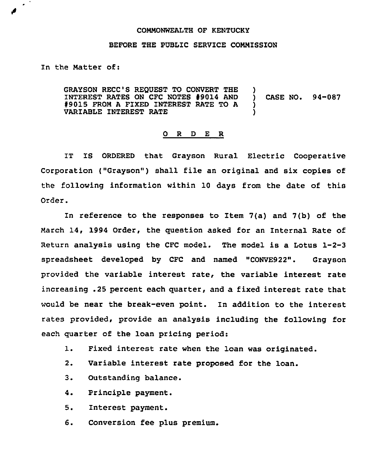## COMMONWEALTH OF KENTUCKY

## BEFORE THE PUBLIC SERVICE COMMISSION

In the Matter of:

GRAYSON RECC'S REQUEST TO CONVERT THE )<br>INTEREST RATES ON CFC NOTES #9014 AND ) INTEREST RATES ON CFC NOTES #9014 AND ) CASE NO. 94-087<br>#9015 FROM A FIXED INTEREST RATE TO A ) \$ 9015 FROM <sup>A</sup> FIXED INTEREST RATE TO <sup>A</sup> ) VARIABLE INTEREST RATE )

## 0 <sup>R</sup> <sup>D</sup> E R

IT IS ORDERED that Grayson Rural Electric Cooperative Corporation ("Grayson") shall file an original and six copies of the following information within 10 days from the date of this Order.

In reference to the responses to Item 7(a) and 7(b) of the March 14, 1994 Order, the question asked for an Internal Rate of Return analysis using the CFC model. The model is a Lotus 1-2-3 spreadsheet developed by CFC and named "CONVE922". Grayson provided the variable interest rate, the variable interest rate increasing .25 percent each quarter, and a fixed interest rate that would be near the break-even point. In addition to the interest rates provided, provide an analysis including the following for each quarter of the loan pricing period:

- 1. Fixed interest rate when the loan was originated.
- 2. Variable interest rate proposed for the loan.
- 3. Outstanding balance.
- 4. Principle payment.
- 5. Interest payment.
- 6. Conversion fee plus premium.